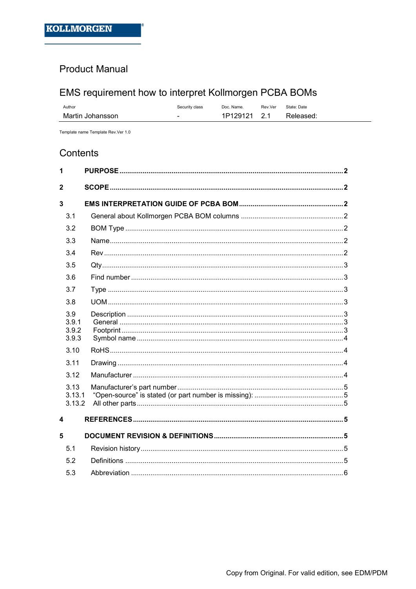## **Product Manual**

# EMS requirement how to interpret Kollmorgen PCBA BOMs

| Author           | Security class | Doc. Name.   | Rev.Ver | State: Date |
|------------------|----------------|--------------|---------|-------------|
| Martin Johansson |                | 1P129121 2.1 |         | Released:   |

Template name Template Rev.Ver 1.0

## Contents

| 1                              |  |
|--------------------------------|--|
| $\overline{2}$                 |  |
| 3                              |  |
| 3.1                            |  |
| 3.2                            |  |
| 3.3                            |  |
| 3.4                            |  |
| 3.5                            |  |
| 3.6                            |  |
| 3.7                            |  |
| 3.8                            |  |
| 3.9<br>3.9.1<br>3.9.2<br>3.9.3 |  |
| 3.10                           |  |
| 3.11                           |  |
| 3.12                           |  |
| 3.13<br>3.13.1<br>3.13.2       |  |
| 4                              |  |
| 5                              |  |
| 5.1                            |  |
| 5.2                            |  |
| 5.3                            |  |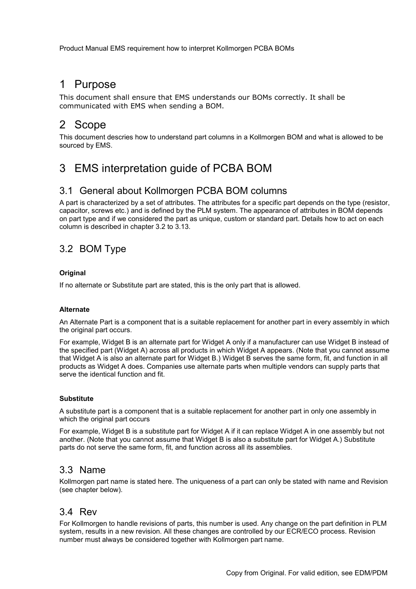## 1 Purpose

This document shall ensure that EMS understands our BOMs correctly. It shall be communicated with EMS when sending a BOM.

# 2 Scope

This document descries how to understand part columns in a Kollmorgen BOM and what is allowed to be sourced by EMS.

# 3 EMS interpretation guide of PCBA BOM

## 3.1 General about Kollmorgen PCBA BOM columns

A part is characterized by a set of attributes. The attributes for a specific part depends on the type (resistor, capacitor, screws etc.) and is defined by the PLM system. The appearance of attributes in BOM depends on part type and if we considered the part as unique, custom or standard part. Details how to act on each column is described in chapter 3.2 to 3.13.

## 3.2 BOM Type

#### **Original**

If no alternate or Substitute part are stated, this is the only part that is allowed.

#### Alternate

An Alternate Part is a component that is a suitable replacement for another part in every assembly in which the original part occurs.

For example, Widget B is an alternate part for Widget A only if a manufacturer can use Widget B instead of the specified part (Widget A) across all products in which Widget A appears. (Note that you cannot assume that Widget A is also an alternate part for Widget B.) Widget B serves the same form, fit, and function in all products as Widget A does. Companies use alternate parts when multiple vendors can supply parts that serve the identical function and fit.

#### **Substitute**

A substitute part is a component that is a suitable replacement for another part in only one assembly in which the original part occurs

For example, Widget B is a substitute part for Widget A if it can replace Widget A in one assembly but not another. (Note that you cannot assume that Widget B is also a substitute part for Widget A.) Substitute parts do not serve the same form, fit, and function across all its assemblies.

## 3.3 Name

Kollmorgen part name is stated here. The uniqueness of a part can only be stated with name and Revision (see chapter below).

## 3.4 Rev

For Kollmorgen to handle revisions of parts, this number is used. Any change on the part definition in PLM system, results in a new revision. All these changes are controlled by our ECR/ECO process. Revision number must always be considered together with Kollmorgen part name.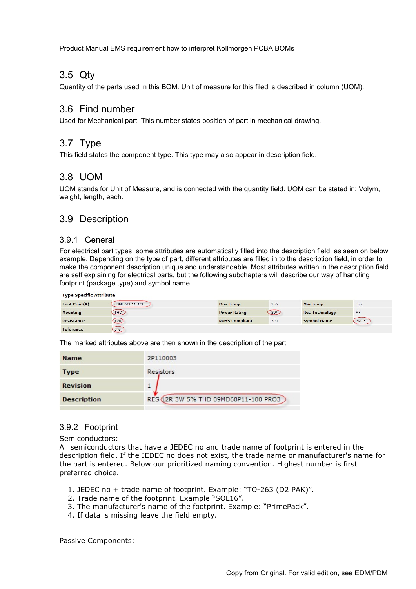## 3.5 Qty

Quantity of the parts used in this BOM. Unit of measure for this filed is described in column (UOM).

### 3.6 Find number

Used for Mechanical part. This number states position of part in mechanical drawing.

## 3.7 Type

This field states the component type. This type may also appear in description field.

## 3.8 UOM

UOM stands for Unit of Measure, and is connected with the quantity field. UOM can be stated in: Volym, weight, length, each.

## 3.9 Description

#### 3.9.1 General

For electrical part types, some attributes are automatically filled into the description field, as seen on below example. Depending on the type of part, different attributes are filled in to the description field, in order to make the component description unique and understandable. Most attributes written in the description field are self explaining for electrical parts, but the following subchapters will describe our way of handling footprint (package type) and symbol name.

| <b>Type Specific Attribute</b> |               |                       |     |                       |       |
|--------------------------------|---------------|-----------------------|-----|-----------------------|-------|
| Foot Print(R)                  | 09MD68P11-100 | <b>Max Temp</b>       | 155 | <b>Min Temp</b>       | $-55$ |
| <b>Mounting</b>                | THD           | <b>Power Rating</b>   | 3W  | <b>Res Technology</b> | MF    |
| <b>Resistance</b>              | 12R           | <b>ROHS Compliant</b> | Yes | <b>Symbol Name</b>    | PRO3  |
| <b>Tolerance</b>               | 5%            |                       |     |                       |       |

The marked attributes above are then shown in the description of the part.

| <b>Name</b>        | 2P110003                              |
|--------------------|---------------------------------------|
| <b>Type</b>        | <b>Resistors</b>                      |
| <b>Revision</b>    |                                       |
| <b>Description</b> | RES (12R 3W 5% THD 09MD68P11-100 PRO3 |

### 3.9.2 Footprint

#### Semiconductors:

All semiconductors that have a JEDEC no and trade name of footprint is entered in the description field. If the JEDEC no does not exist, the trade name or manufacturer's name for the part is entered. Below our prioritized naming convention. Highest number is first preferred choice.

- 1. JEDEC no + trade name of footprint. Example: "TO-263 (D2 PAK)".
- 2. Trade name of the footprint. Example "SOL16".
- 3. The manufacturer's name of the footprint. Example: "PrimePack".
- 4. If data is missing leave the field empty.

Passive Components: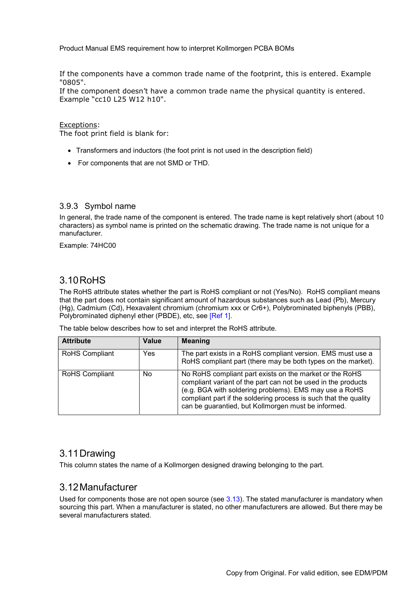If the components have a common trade name of the footprint, this is entered. Example "0805".

If the component doesn't have a common trade name the physical quantity is entered. Example "cc10 L25 W12 h10".

Exceptions:

The foot print field is blank for:

- Transformers and inductors (the foot print is not used in the description field)
- For components that are not SMD or THD.

#### 3.9.3 Symbol name

In general, the trade name of the component is entered. The trade name is kept relatively short (about 10 characters) as symbol name is printed on the schematic drawing. The trade name is not unique for a manufacturer.

Example: 74HC00

### 3.10 RoHS

The RoHS attribute states whether the part is RoHS compliant or not (Yes/No). RoHS compliant means that the part does not contain significant amount of hazardous substances such as Lead (Pb), Mercury (Hg), Cadmium (Cd), Hexavalent chromium (chromium xxx or Cr6+), Polybrominated biphenyls (PBB), Polybrominated diphenyl ether (PBDE), etc, see [Ref 1].

The table below describes how to set and interpret the RoHS attribute.

| <b>Attribute</b>      | Value      | <b>Meaning</b>                                                                                                                                                                                                                                                                                                |
|-----------------------|------------|---------------------------------------------------------------------------------------------------------------------------------------------------------------------------------------------------------------------------------------------------------------------------------------------------------------|
| <b>RoHS Compliant</b> | <b>Yes</b> | The part exists in a RoHS compliant version. EMS must use a<br>RoHS compliant part (there may be both types on the market).                                                                                                                                                                                   |
| <b>RoHS Compliant</b> | <b>No</b>  | No RoHS compliant part exists on the market or the RoHS<br>compliant variant of the part can not be used in the products<br>(e.g. BGA with soldering problems). EMS may use a RoHS<br>compliant part if the soldering process is such that the quality<br>can be guarantied, but Kollmorgen must be informed. |

## 3.11 Drawing

This column states the name of a Kollmorgen designed drawing belonging to the part.

## 3.12 Manufacturer

Used for components those are not open source (see 3.13). The stated manufacturer is mandatory when sourcing this part. When a manufacturer is stated, no other manufacturers are allowed. But there may be several manufacturers stated.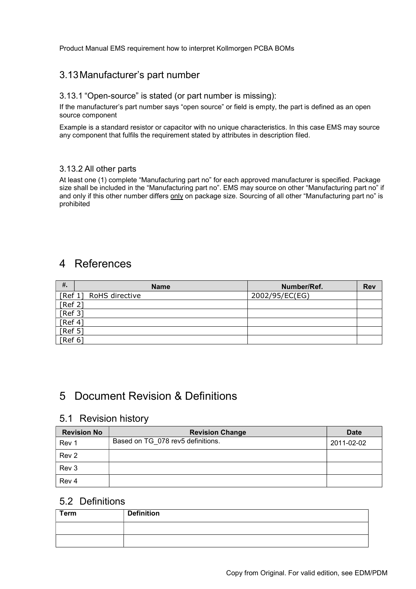## 3.13 Manufacturer's part number

#### 3.13.1 "Open-source" is stated (or part number is missing):

If the manufacturer's part number says "open source" or field is empty, the part is defined as an open source component

Example is a standard resistor or capacitor with no unique characteristics. In this case EMS may source any component that fulfils the requirement stated by attributes in description filed.

#### 3.13.2 All other parts

At least one (1) complete "Manufacturing part no" for each approved manufacturer is specified. Package size shall be included in the "Manufacturing part no". EMS may source on other "Manufacturing part no" if and only if this other number differs only on package size. Sourcing of all other "Manufacturing part no" is prohibited

## 4 References

| $#$ .   | <b>Name</b>            | Number/Ref.    | <b>Rev</b> |
|---------|------------------------|----------------|------------|
|         | [Ref 1] RoHS directive | 2002/95/EC(EG) |            |
| [Ref 2] |                        |                |            |
| [Ref 3] |                        |                |            |
| [Ref 4] |                        |                |            |
| [Ref 5] |                        |                |            |
| [Ref 6] |                        |                |            |

## 5 Document Revision & Definitions

#### 5.1 Revision history

| <b>Revision No</b> | <b>Revision Change</b>            | <b>Date</b> |
|--------------------|-----------------------------------|-------------|
| Rev 1              | Based on TG 078 rev5 definitions. | 2011-02-02  |
| Rev <sub>2</sub>   |                                   |             |
| Rev 3              |                                   |             |
| Rev 4              |                                   |             |

### 5.2 Definitions

| <b>Term</b> | <b>Definition</b> |
|-------------|-------------------|
|             |                   |
|             |                   |